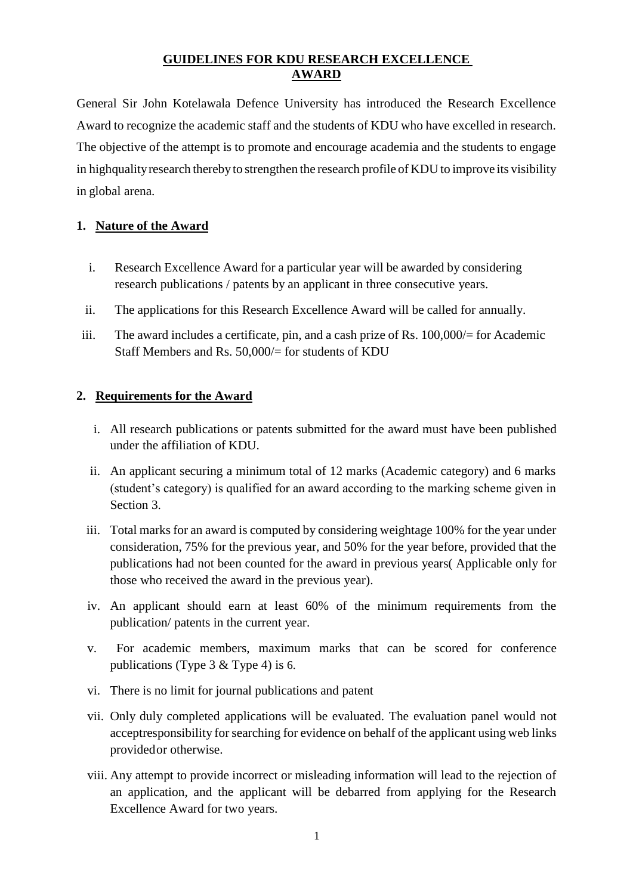## **GUIDELINES FOR KDU RESEARCH EXCELLENCE AWARD**

General Sir John Kotelawala Defence University has introduced the Research Excellence Award to recognize the academic staff and the students of KDU who have excelled in research. The objective of the attempt is to promote and encourage academia and the students to engage in highqualityresearch therebyto strengthen the research profile of KDU to improve its visibility in global arena.

## **1. Nature of the Award**

- i. Research Excellence Award for a particular year will be awarded by considering research publications / patents by an applicant in three consecutive years.
- ii. The applications for this Research Excellence Award will be called for annually.
- iii. The award includes a certificate, pin, and a cash prize of Rs. 100,000/= for Academic Staff Members and Rs. 50,000/= for students of KDU

## **2. Requirements for the Award**

- i. All research publications or patents submitted for the award must have been published under the affiliation of KDU.
- ii. An applicant securing a minimum total of 12 marks (Academic category) and 6 marks (student's category) is qualified for an award according to the marking scheme given in Section 3.
- iii. Total marks for an award is computed by considering weightage 100% for the year under consideration, 75% for the previous year, and 50% for the year before, provided that the publications had not been counted for the award in previous years( Applicable only for those who received the award in the previous year).
- iv. An applicant should earn at least 60% of the minimum requirements from the publication/ patents in the current year.
- v. For academic members, maximum marks that can be scored for conference publications (Type 3 & Type 4) is 6.
- vi. There is no limit for journal publications and patent
- vii. Only duly completed applications will be evaluated. The evaluation panel would not acceptresponsibility for searching for evidence on behalf of the applicant using web links provided or otherwise.
- viii. Any attempt to provide incorrect or misleading information will lead to the rejection of an application, and the applicant will be debarred from applying for the Research Excellence Award for two years.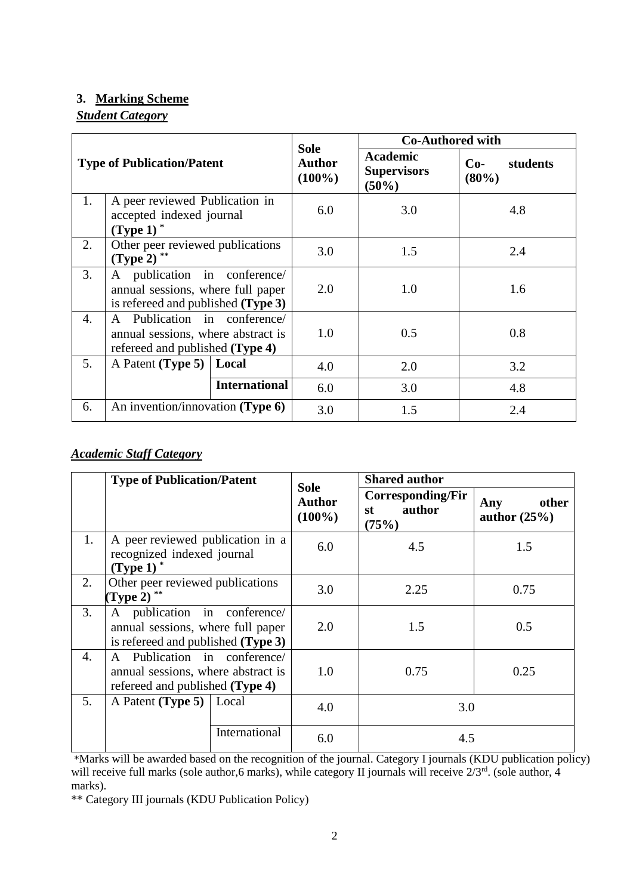### **3. Marking Scheme**

## *Student Category*

| <b>Type of Publication/Patent</b> |                                                                                                         |                      | <b>Sole</b><br><b>Author</b><br>$(100\%)$ | <b>Co-Authored with</b>                        |                            |
|-----------------------------------|---------------------------------------------------------------------------------------------------------|----------------------|-------------------------------------------|------------------------------------------------|----------------------------|
|                                   |                                                                                                         |                      |                                           | <b>Academic</b><br><b>Supervisors</b><br>(50%) | $Co-$<br>students<br>(80%) |
| 1.                                | A peer reviewed Publication in<br>accepted indexed journal<br>$(Type 1)^*$                              |                      | 6.0                                       | 3.0                                            | 4.8                        |
| 2.                                | Other peer reviewed publications<br>$(Type 2)$ **                                                       |                      | 3.0                                       | 1.5                                            | 2.4                        |
| 3.                                | A publication in conference/<br>annual sessions, where full paper<br>is refereed and published (Type 3) |                      | 2.0                                       | 1.0                                            | 1.6                        |
| 4.                                | A Publication in conference/<br>annual sessions, where abstract is<br>refereed and published (Type 4)   |                      | 1.0                                       | 0.5                                            | 0.8                        |
| 5.                                | A Patent (Type 5)   Local                                                                               |                      | 4.0                                       | 2.0                                            | 3.2                        |
|                                   |                                                                                                         | <b>International</b> | 6.0                                       | 3.0                                            | 4.8                        |
| 6.                                | An invention/innovation (Type $6$ )                                                                     |                      | 3.0                                       | 1.5                                            | 2.4                        |

# *Academic Staff Category*

|    | <b>Type of Publication/Patent</b>                                                                       |       | <b>Sole</b><br><b>Author</b><br>$(100\%)$ | <b>Shared author</b>                       |                                |
|----|---------------------------------------------------------------------------------------------------------|-------|-------------------------------------------|--------------------------------------------|--------------------------------|
|    |                                                                                                         |       |                                           | Corresponding/Fir<br>author<br>st<br>(75%) | other<br>Any<br>author $(25%)$ |
| 1. | A peer reviewed publication in a<br>recognized indexed journal<br>$(Type 1)^*$                          |       | 6.0                                       | 4.5                                        | 1.5                            |
| 2. | Other peer reviewed publications<br>$(Type 2)$ **                                                       |       | 3.0                                       | 2.25                                       | 0.75                           |
| 3. | A publication in conference/<br>annual sessions, where full paper<br>is refereed and published (Type 3) |       | 2.0                                       | 1.5                                        | 0.5                            |
| 4. | A Publication in conference/<br>annual sessions, where abstract is<br>refereed and published (Type 4)   |       | 1.0                                       | 0.75                                       | 0.25                           |
| 5. | A Patent (Type 5)                                                                                       | Local | 4.0                                       | 3.0                                        |                                |
|    | International                                                                                           |       | 6.0                                       | 4.5                                        |                                |

\*Marks will be awarded based on the recognition of the journal. Category I journals (KDU publication policy) will receive full marks (sole author, 6 marks), while category II journals will receive  $2/3^{rd}$ . (sole author, 4 marks).

\*\* Category III journals (KDU Publication Policy)